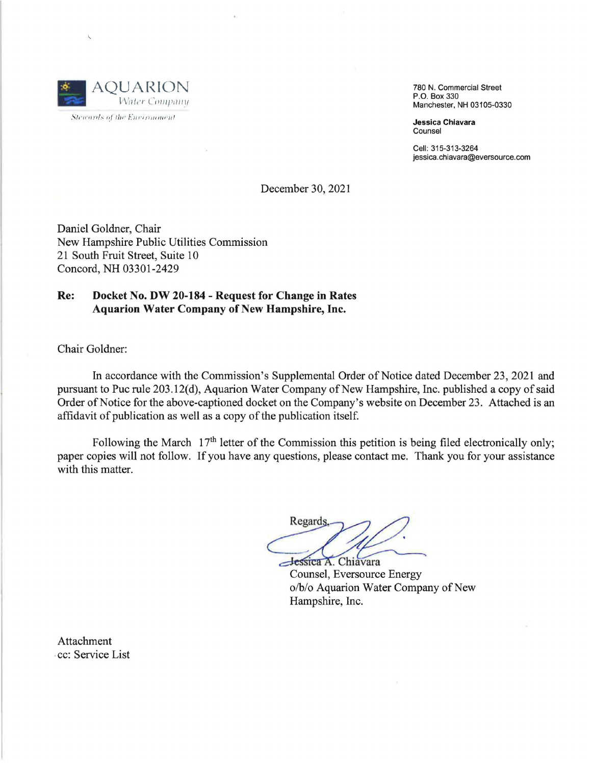

Stewards of the Eurironment

780 **N.** Commercial Street P.O. Box 330 Manchester, NH 03105-0330

**Jessica Chiavara**  Counsel

Cell: 315-313-3264 jessica.chiavara@eversource.com

December 30, 2021

Daniel Goldner, Chair New Hampshire Public Utilities Commission 21 South Fruit Street, Suite 10 Concord, NH 03301-2429

# **Re: Docket No. DW 20-184** - **Request for Change in Rates Aquarion Water Company of New Hampshire, Inc.**

Chair Goldner:

In accordance with the Commission's Supplemental Order of Notice dated December 23, 2021 and pursuant to Puc rule 203.12(d), Aquarion Water Company of New Hampshire, Inc. published a copy of said Order of Notice for the above-captioned docket on the Company's website on December 23. Attached is an affidavit of publication as well as a copy of the publication itself.

Following the March  $17<sup>th</sup>$  letter of the Commission this petition is being filed electronically only; paper copies will not follow. If you have any questions, please contact me. Thank you for your assistance with this matter.

he Commission this petition is being filed et<br>y questions, please contact me. Thank you for<br>Regards.<br>Regards.<br>Counsel, Eversource Energy<br>o/b/o Aquarion Water Company of New **Jessica A. Chiavara** 

Counsel, Eversource Energy o/b/o Aquarion Water Company of New Hampshire, Inc.

Attachment cc: Service List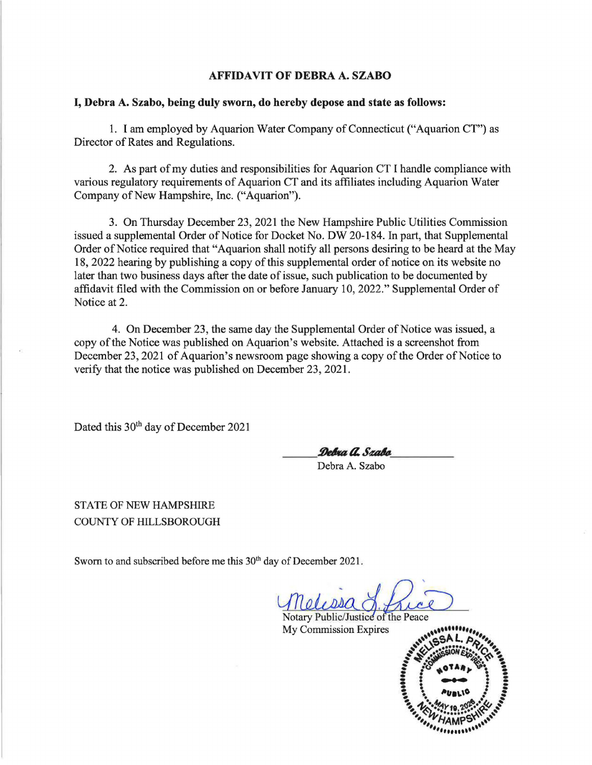## **AFFIDAVIT OF DEBRA A. SZABO**

## **I, Debra A. Szabo, being duly sworn, do hereby depose and state as follows:**

1. I am employed by Aquarion Water Company of Connecticut ("Aquarion CT") as Director of Rates and Regulations.

2. As part of my duties and responsibilities for Aquarion CT I handle compliance with various regulatory requirements of Aquarion CT and its affiliates including Aquarion Water Company of New Hampshire, Inc. ("Aquarion").

3. On Thursday December 23, 2021 the New Hampshire Public Utilities Commission issued a supplemental Order of Notice for Docket No. DW 20-184. In part, that Supplemental Order of Notice required that "Aquarion shall notify all persons desiring to be heard at the May 18, 2022 hearing by publishing a copy of this supplemental order of notice on its website no later than two business days after the date of issue, such publication to be documented by affidavit filed with the Commission on or before January 10, 2022." Supplemental Order of Notice at 2.

4. On December 23, the same day the Supplemental Order of Notice was issued, a copy of the Notice was published on Aquarion's website. Attached is a screenshot from December 23, 2021 of Aquarion's newsroom page showing a copy of the Order of Notice to verify that the notice was published on December 23, 2021.

Dated this 30<sup>th</sup> day of December 2021

*Debra a. Szabo*<br>Debra A. Szabo

STATE OF NEW HAMPSHIRE COUNTY OF HILLSBOROUGH

Sworn to and subscribed before me this 30<sup>th</sup> day of December 2021.

 $0, DBQ$ 

Notary Public/Justice of the Peace My Commission Expires

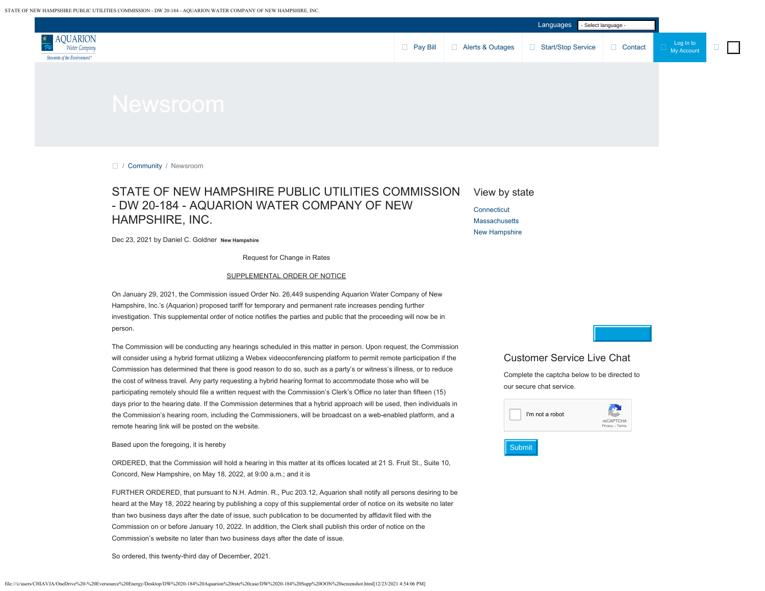

□ / [Community](https://www.aquarionwater.com/community) / Newsroom

### STATE OF NEW HAMPSHIRE PUBLIC UTILITIES COMMISSION - DW 20-184 - AQUARION WATER COMPANY OF NEW HAMPSHIRE, INC. **[Connecticut](https://www.aquarionwater.com/community/newsroom/-in-category/categories/connecticut)**

#### View by state

**[Massachusetts](https://www.aquarionwater.com/community/newsroom/-in-category/categories/massachusetts)** [New Hampshire](https://www.aquarionwater.com/community/newsroom/-in-category/categories/new-hampshire)

Dec 23, 2021 by Daniel C. Goldner **New Hampshire**

Request for Change in Rates

#### SUPPLEMENTAL ORDER OF NOTICE

On January 29, 2021, the Commission issued Order No. 26,449 suspending Aquarion Water Company of New Hampshire, Inc.'s (Aquarion) proposed tariff for temporary and permanent rate increases pending further investigation. This supplemental order of notice notifies the parties and public that the proceeding will now be in person.

The Commission will be conducting any hearings scheduled in this matter in person. Upon request, the Commission will consider using a hybrid format utilizing a Webex videoconferencing platform to permit remote participation if the Commission has determined that there is good reason to do so, such as a party's or witness's illness, or to reduce the cost of witness travel. Any party requesting a hybrid hearing format to accommodate those who will be participating remotely should file a written request with the Commission's Clerk's Office no later than fifteen (15) days prior to the hearing date. If the Commission determines that a hybrid approach will be used, then individuals in the Commission's hearing room, including the Commissioners, will be broadcast on a web-enabled platform, and a remote hearing link will be posted on the website.

#### Based upon the foregoing, it is hereby

ORDERED, that the Commission will hold a hearing in this matter at its offices located at 21 S. Fruit St., Suite 10, Concord, New Hampshire, on May 18, 2022, at 9:00 a.m.; and it is

FURTHER ORDERED, that pursuant to N.H. Admin. R., Puc 203.12, Aquarion shall notify all persons desiring to be heard at the May 18, 2022 hearing by publishing a copy of this supplemental order of notice on its website no later than two business days after the date of issue, such publication to be documented by affidavit filed with the Commission on or before January 10, 2022. In addition, the Clerk shall publish this order of notice on the Commission's website no later than two business days after the date of issue.

So ordered, this twenty-third day of December, 2021.

### Customer Service Live Chat

Complete the captcha below to be directed to our secure chat service.

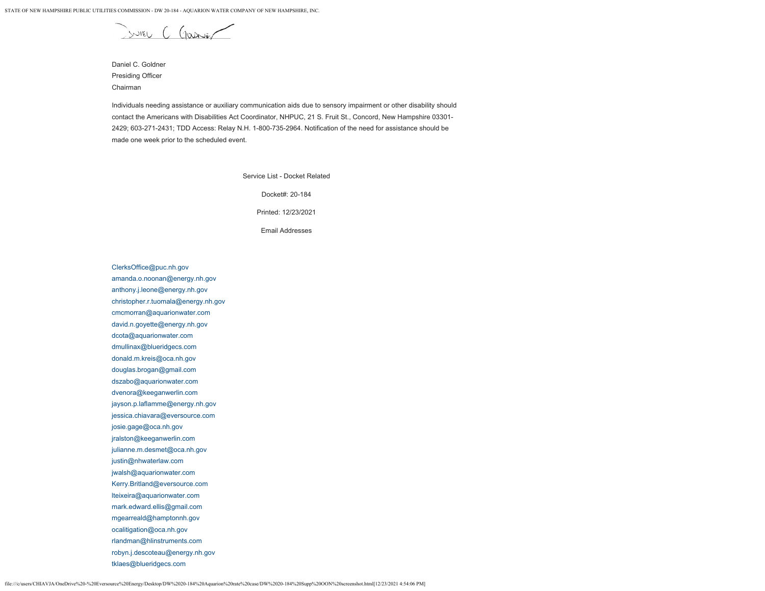JUIEL C Gassier

Daniel C. Goldner Presiding Officer Chairman

Individuals needing assistance or auxiliary communication aids due to sensory impairment or other disability should contact the Americans with Disabilities Act Coordinator, NHPUC, 21 S. Fruit St., Concord, New Hampshire 03301- 2429; 603-271-2431; TDD Access: Relay N.H. 1-800-735-2964. Notification of the need for assistance should be made one week prior to the scheduled event.

Service List - Docket Related

Docket#: 20-184

Printed: 12/23/2021

Email Addresses

[ClerksOffice@puc.nh.gov](mailto:ClerksOffice@puc.nh.gov) [amanda.o.noonan@energy.nh.gov](mailto:amanda.o.noonan@energy.nh.gov) [anthony.j.leone@energy.nh.gov](mailto:anthony.j.leone@energy.nh.gov) [christopher.r.tuomala@energy.nh.gov](mailto:christopher.r.tuomala@energy.nh.gov) [cmcmorran@aquarionwater.com](mailto:cmcmorran@aquarionwater.com) [david.n.goyette@energy.nh.gov](mailto:david.n.goyette@energy.nh.gov) [dcota@aquarionwater.com](mailto:dcota@aquarionwater.com) [dmullinax@blueridgecs.com](mailto:dmullinax@blueridgecs.com) [donald.m.kreis@oca.nh.gov](mailto:donald.m.kreis@oca.nh.gov) [douglas.brogan@gmail.com](mailto:douglas.brogan@gmail.com) [dszabo@aquarionwater.com](mailto:dszabo@aquarionwater.com) [dvenora@keeganwerlin.com](mailto:dvenora@keeganwerlin.com) [jayson.p.laflamme@energy.nh.gov](mailto:jayson.p.laflamme@energy.nh.gov) [jessica.chiavara@eversource.com](mailto:jessica.chiavara@eversource.com) [josie.gage@oca.nh.gov](mailto:josie.gage@oca.nh.gov) [jralston@keeganwerlin.com](mailto:jralston@keeganwerlin.com) [julianne.m.desmet@oca.nh.gov](mailto:julianne.m.desmet@oca.nh.gov) [justin@nhwaterlaw.com](mailto:justin@nhwaterlaw.com) [jwalsh@aquarionwater.com](mailto:jwalsh@aquarionwater.com) [Kerry.Britland@eversource.com](mailto:Kerry.Britland@eversource.com) [lteixeira@aquarionwater.com](mailto:lteixeira@aquarionwater.com) [mark.edward.ellis@gmail.com](mailto:mark.edward.ellis@gmail.com) [mgearreald@hamptonnh.gov](mailto:mgearreald@hamptonnh.gov) [ocalitigation@oca.nh.gov](mailto:ocalitigation@oca.nh.gov) [rlandman@hlinstruments.com](mailto:rlandman@hlinstruments.com) [robyn.j.descoteau@energy.nh.gov](mailto:robyn.j.descoteau@energy.nh.gov) [tklaes@blueridgecs.com](mailto:tklaes@blueridgecs.com)